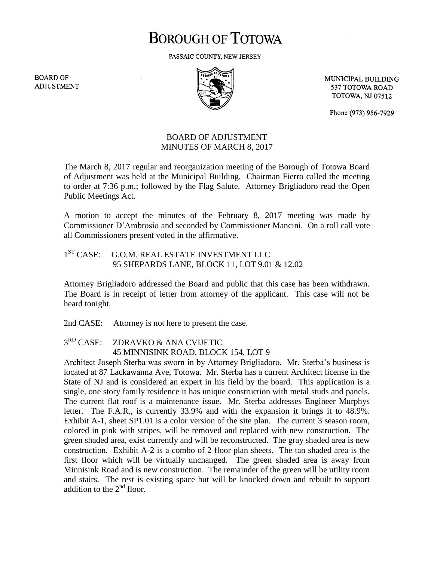# **BOROUGH OF TOTOWA**

PASSAIC COUNTY, NEW JERSEY

**BOARD OF ADJUSTMENT** 



MUNICIPAL BUILDING 537 TOTOWA ROAD **TOTOWA, NJ 07512** 

Phone (973) 956-7929

### BOARD OF ADJUSTMENT MINUTES OF MARCH 8, 2017

The March 8, 2017 regular and reorganization meeting of the Borough of Totowa Board of Adjustment was held at the Municipal Building. Chairman Fierro called the meeting to order at 7:36 p.m.; followed by the Flag Salute. Attorney Brigliadoro read the Open Public Meetings Act.

A motion to accept the minutes of the February 8, 2017 meeting was made by Commissioner D'Ambrosio and seconded by Commissioner Mancini. On a roll call vote all Commissioners present voted in the affirmative.

#### $1<sup>ST</sup> CASE:$ G.O.M. REAL ESTATE INVESTMENT LLC 95 SHEPARDS LANE, BLOCK 11, LOT 9.01 & 12.02

Attorney Brigliadoro addressed the Board and public that this case has been withdrawn. The Board is in receipt of letter from attorney of the applicant. This case will not be heard tonight.

2nd CASE: Attorney is not here to present the case.

 $3<sup>RD</sup>$  CASE: ZDRAVKO & ANA CVIJETIC 45 MINNISINK ROAD, BLOCK 154, LOT 9

Architect Joseph Sterba was sworn in by Attorney Brigliadoro. Mr. Sterba's business is located at 87 Lackawanna Ave, Totowa. Mr. Sterba has a current Architect license in the State of NJ and is considered an expert in his field by the board. This application is a single, one story family residence it has unique construction with metal studs and panels. The current flat roof is a maintenance issue. Mr. Sterba addresses Engineer Murphys letter. The F.A.R., is currently 33.9% and with the expansion it brings it to 48.9%. Exhibit A-1, sheet SP1.01 is a color version of the site plan. The current 3 season room, colored in pink with stripes, will be removed and replaced with new construction. The green shaded area, exist currently and will be reconstructed. The gray shaded area is new construction. Exhibit A-2 is a combo of 2 floor plan sheets. The tan shaded area is the first floor which will be virtually unchanged. The green shaded area is away from Minnisink Road and is new construction. The remainder of the green will be utility room and stairs. The rest is existing space but will be knocked down and rebuilt to support addition to the  $2<sup>nd</sup>$  floor.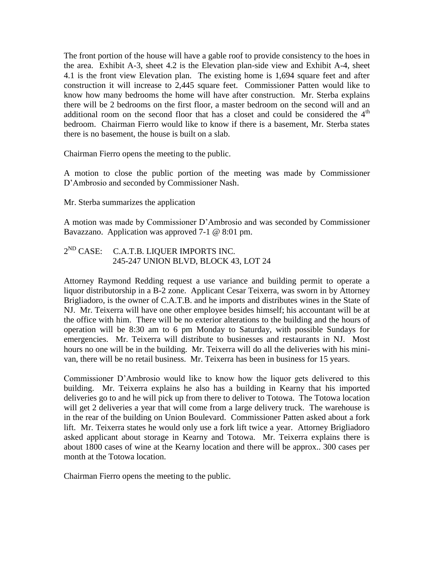The front portion of the house will have a gable roof to provide consistency to the hoes in the area. Exhibit A-3, sheet 4.2 is the Elevation plan-side view and Exhibit A-4, sheet 4.1 is the front view Elevation plan. The existing home is 1,694 square feet and after construction it will increase to 2,445 square feet. Commissioner Patten would like to know how many bedrooms the home will have after construction. Mr. Sterba explains there will be 2 bedrooms on the first floor, a master bedroom on the second will and an additional room on the second floor that has a closet and could be considered the  $4<sup>th</sup>$ bedroom. Chairman Fierro would like to know if there is a basement, Mr. Sterba states there is no basement, the house is built on a slab.

Chairman Fierro opens the meeting to the public.

A motion to close the public portion of the meeting was made by Commissioner D'Ambrosio and seconded by Commissioner Nash.

Mr. Sterba summarizes the application

A motion was made by Commissioner D'Ambrosio and was seconded by Commissioner Bavazzano. Application was approved 7-1 @ 8:01 pm.

## $2^{ND}$  CASE: C.A.T.B. LIQUER IMPORTS INC. 245-247 UNION BLVD, BLOCK 43, LOT 24

Attorney Raymond Redding request a use variance and building permit to operate a liquor distributorship in a B-2 zone. Applicant Cesar Teixerra, was sworn in by Attorney Brigliadoro, is the owner of C.A.T.B. and he imports and distributes wines in the State of NJ. Mr. Teixerra will have one other employee besides himself; his accountant will be at the office with him. There will be no exterior alterations to the building and the hours of operation will be 8:30 am to 6 pm Monday to Saturday, with possible Sundays for emergencies. Mr. Teixerra will distribute to businesses and restaurants in NJ. Most hours no one will be in the building. Mr. Teixerra will do all the deliveries with his minivan, there will be no retail business. Mr. Teixerra has been in business for 15 years.

Commissioner D'Ambrosio would like to know how the liquor gets delivered to this building. Mr. Teixerra explains he also has a building in Kearny that his imported deliveries go to and he will pick up from there to deliver to Totowa. The Totowa location will get 2 deliveries a year that will come from a large delivery truck. The warehouse is in the rear of the building on Union Boulevard. Commissioner Patten asked about a fork lift. Mr. Teixerra states he would only use a fork lift twice a year. Attorney Brigliadoro asked applicant about storage in Kearny and Totowa. Mr. Teixerra explains there is about 1800 cases of wine at the Kearny location and there will be approx.. 300 cases per month at the Totowa location.

Chairman Fierro opens the meeting to the public.